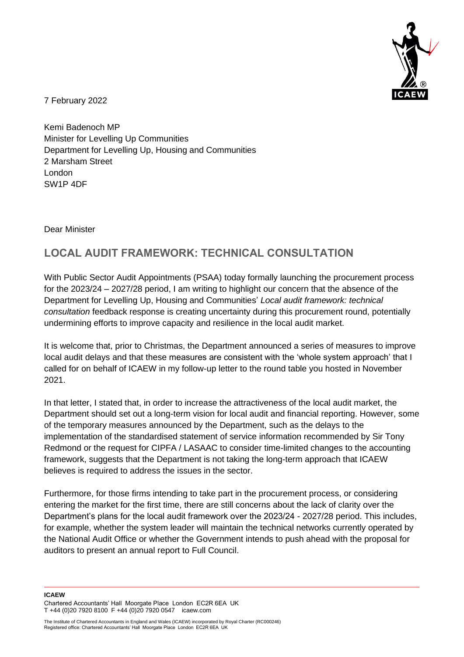

7 February 2022

Kemi Badenoch MP Minister for Levelling Up Communities Department for Levelling Up, Housing and Communities 2 Marsham Street London SW1P 4DF

Dear Minister

## **LOCAL AUDIT FRAMEWORK: TECHNICAL CONSULTATION**

With Public Sector Audit Appointments (PSAA) today formally launching the procurement process for the 2023/24 – 2027/28 period, I am writing to highlight our concern that the absence of the Department for Levelling Up, Housing and Communities' *Local audit framework: technical consultation* feedback response is creating uncertainty during this procurement round, potentially undermining efforts to improve capacity and resilience in the local audit market.

It is welcome that, prior to Christmas, the Department announced a series of measures to improve local audit delays and that these measures are consistent with the 'whole system approach' that I called for on behalf of ICAEW in my follow-up letter to the round table you hosted in November 2021.

In that letter, I stated that, in order to increase the attractiveness of the local audit market, the Department should set out a long-term vision for local audit and financial reporting. However, some of the temporary measures announced by the Department, such as the delays to the implementation of the standardised statement of service information recommended by Sir Tony Redmond or the request for CIPFA / LASAAC to consider time-limited changes to the accounting framework, suggests that the Department is not taking the long-term approach that ICAEW believes is required to address the issues in the sector.

Furthermore, for those firms intending to take part in the procurement process, or considering entering the market for the first time, there are still concerns about the lack of clarity over the Department's plans for the local audit framework over the 2023/24 - 2027/28 period. This includes, for example, whether the system leader will maintain the technical networks currently operated by the National Audit Office or whether the Government intends to push ahead with the proposal for auditors to present an annual report to Full Council.

**ICAEW** 

Chartered Accountants' Hall Moorgate Place London EC2R 6EA UK T +44 (0)20 7920 8100 F +44 (0)20 7920 0547 icaew.com

The Institute of Chartered Accountants in England and Wales (ICAEW) incorporated by Royal Charter (RC000246) Registered office: Chartered Accountants' Hall Moorgate Place London EC2R 6EA UK